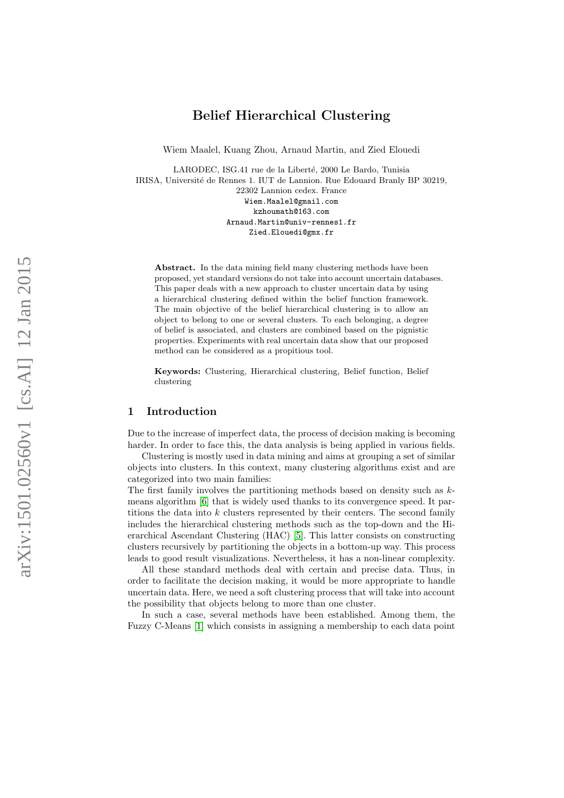Wiem Maalel, Kuang Zhou, Arnaud Martin, and Zied Elouedi

LARODEC, ISG.41 rue de la Liberté, 2000 Le Bardo, Tunisia IRISA, Université de Rennes 1. IUT de Lannion. Rue Edouard Branly BP 30219, 22302 Lannion cedex. France Wiem.Maalel@gmail.com kzhoumath@163.com Arnaud.Martin@univ-rennes1.fr Zied.Elouedi@gmx.fr

Abstract. In the data mining field many clustering methods have been proposed, yet standard versions do not take into account uncertain databases. This paper deals with a new approach to cluster uncertain data by using a hierarchical clustering defined within the belief function framework. The main objective of the belief hierarchical clustering is to allow an object to belong to one or several clusters. To each belonging, a degree of belief is associated, and clusters are combined based on the pignistic properties. Experiments with real uncertain data show that our proposed method can be considered as a propitious tool.

Keywords: Clustering, Hierarchical clustering, Belief function, Belief clustering

## 1 Introduction

Due to the increase of imperfect data, the process of decision making is becoming harder. In order to face this, the data analysis is being applied in various fields.

Clustering is mostly used in data mining and aims at grouping a set of similar objects into clusters. In this context, many clustering algorithms exist and are categorized into two main families:

The first family involves the partitioning methods based on density such as  $k$ means algorithm [\[6\]](#page-9-0) that is widely used thanks to its convergence speed. It partitions the data into  $k$  clusters represented by their centers. The second family includes the hierarchical clustering methods such as the top-down and the Hierarchical Ascendant Clustering (HAC) [\[5\]](#page-8-0). This latter consists on constructing clusters recursively by partitioning the objects in a bottom-up way. This process leads to good result visualizations. Nevertheless, it has a non-linear complexity.

All these standard methods deal with certain and precise data. Thus, in order to facilitate the decision making, it would be more appropriate to handle uncertain data. Here, we need a soft clustering process that will take into account the possibility that objects belong to more than one cluster.

In such a case, several methods have been established. Among them, the Fuzzy C-Means [\[1\]](#page-8-1) which consists in assigning a membership to each data point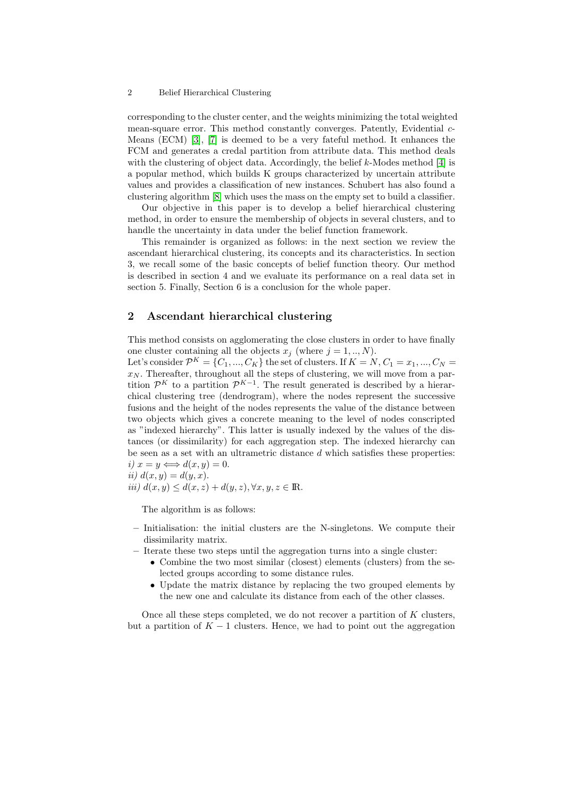corresponding to the cluster center, and the weights minimizing the total weighted mean-square error. This method constantly converges. Patently, Evidential c-Means (ECM) [\[3\]](#page-8-2), [\[7\]](#page-9-1) is deemed to be a very fateful method. It enhances the FCM and generates a credal partition from attribute data. This method deals with the clustering of object data. Accordingly, the belief  $k$ -Modes method [\[4\]](#page-8-3) is a popular method, which builds K groups characterized by uncertain attribute values and provides a classification of new instances. Schubert has also found a clustering algorithm [\[8\]](#page-9-2) which uses the mass on the empty set to build a classifier.

Our objective in this paper is to develop a belief hierarchical clustering method, in order to ensure the membership of objects in several clusters, and to handle the uncertainty in data under the belief function framework.

This remainder is organized as follows: in the next section we review the ascendant hierarchical clustering, its concepts and its characteristics. In section 3, we recall some of the basic concepts of belief function theory. Our method is described in section 4 and we evaluate its performance on a real data set in section 5. Finally, Section 6 is a conclusion for the whole paper.

## <span id="page-1-0"></span>2 Ascendant hierarchical clustering

This method consists on agglomerating the close clusters in order to have finally one cluster containing all the objects  $x_j$  (where  $j = 1, ..., N$ ).

Let's consider  $\mathcal{P}^K = \{C_1, ..., C_K\}$  the set of clusters. If  $K = N, C_1 = x_1, ..., C_N =$  $x_N$ . Thereafter, throughout all the steps of clustering, we will move from a partition  $\mathcal{P}^K$  to a partition  $\mathcal{P}^{K-1}$ . The result generated is described by a hierarchical clustering tree (dendrogram), where the nodes represent the successive fusions and the height of the nodes represents the value of the distance between two objects which gives a concrete meaning to the level of nodes conscripted as "indexed hierarchy". This latter is usually indexed by the values of the distances (or dissimilarity) for each aggregation step. The indexed hierarchy can be seen as a set with an ultrametric distance d which satisfies these properties: i)  $x = y \Longleftrightarrow d(x, y) = 0.$ ii)  $d(x, y) = d(y, x).$ 

$$
iii) d(x, y) \le d(x, z) + d(y, z), \forall x, y, z \in \mathbb{R}.
$$

The algorithm is as follows:

- Initialisation: the initial clusters are the N-singletons. We compute their dissimilarity matrix.
- Iterate these two steps until the aggregation turns into a single cluster:
	- Combine the two most similar (closest) elements (clusters) from the selected groups according to some distance rules.
	- Update the matrix distance by replacing the two grouped elements by the new one and calculate its distance from each of the other classes.

Once all these steps completed, we do not recover a partition of  $K$  clusters, but a partition of  $K - 1$  clusters. Hence, we had to point out the aggregation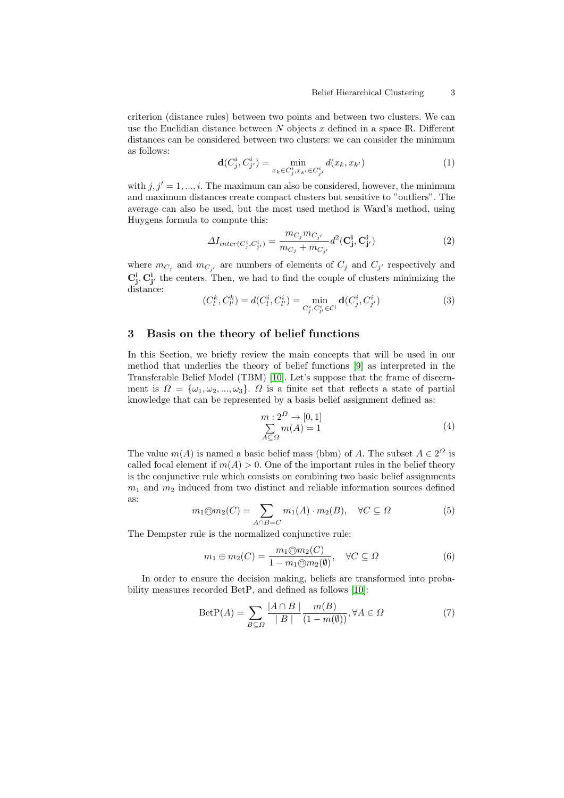criterion (distance rules) between two points and between two clusters. We can use the Euclidian distance between  $N$  objects  $x$  defined in a space IR. Different distances can be considered between two clusters: we can consider the minimum as follows:

$$
\mathbf{d}(C_j^i, C_{j'}^i) = \min_{x_k \in C_j^i, x_{k'} \in C_{j'}^i} d(x_k, x_{k'})
$$
(1)

with  $j, j' = 1, ..., i$ . The maximum can also be considered, however, the minimum and maximum distances create compact clusters but sensitive to "outliers". The average can also be used, but the most used method is Ward's method, using Huygens formula to compute this:

$$
\Delta I_{inter(C_j^i, C_{j'}^i)} = \frac{m_{C_j} m_{C_{j'}}}{m_{C_j} + m_{C_{j'}}} d^2(\mathbf{C_j^i}, \mathbf{C_{j'}^i})
$$
\n(2)

where  $m_{C_j}$  and  $m_{C_{j'}}$  are numbers of elements of  $C_j$  and  $C_{j'}$  respectively and  $\mathbf{C_j^i}, \mathbf{C_{j'}^i}$  the centers. Then, we had to find the couple of clusters minimizing the distance:

$$
(C_l^k, C_{l'}^k) = d(C_l^i, C_{l'}^i) = \min_{C_j^i, C_{l'}^i \in C^i} \mathbf{d}(C_j^i, C_{j'}^i)
$$
(3)

# 3 Basis on the theory of belief functions

In this Section, we briefly review the main concepts that will be used in our method that underlies the theory of belief functions [\[9\]](#page-9-3) as interpreted in the Transferable Belief Model (TBM) [\[10\]](#page-9-4). Let's suppose that the frame of discernment is  $\Omega = {\omega_1, \omega_2, ..., \omega_3}$ .  $\Omega$  is a finite set that reflects a state of partial knowledge that can be represented by a basis belief assignment defined as:

$$
m: 2^{\Omega} \to [0, 1]
$$
  

$$
\sum_{A \subseteq \Omega} m(A) = 1
$$
 (4)

The value  $m(A)$  is named a basic belief mass (bbm) of A. The subset  $A \in 2^{\Omega}$  is called focal element if  $m(A) > 0$ . One of the important rules in the belief theory is the conjunctive rule which consists on combining two basic belief assignments  $m_1$  and  $m_2$  induced from two distinct and reliable information sources defined as:

$$
m_1 \oplus m_2(C) = \sum_{A \cap B = C} m_1(A) \cdot m_2(B), \quad \forall C \subseteq \Omega \tag{5}
$$

The Dempster rule is the normalized conjunctive rule:

<span id="page-2-0"></span>
$$
m_1 \oplus m_2(C) = \frac{m_1 \oplus m_2(C)}{1 - m_1 \oplus m_2(\emptyset)}, \quad \forall C \subseteq \Omega
$$
 (6)

In order to ensure the decision making, beliefs are transformed into probability measures recorded BetP, and defined as follows [\[10\]](#page-9-4):

$$
\text{ BetP}(A) = \sum_{B \subseteq \Omega} \frac{|A \cap B|}{|B|} \frac{m(B)}{(1 - m(\emptyset))}, \forall A \in \Omega \tag{7}
$$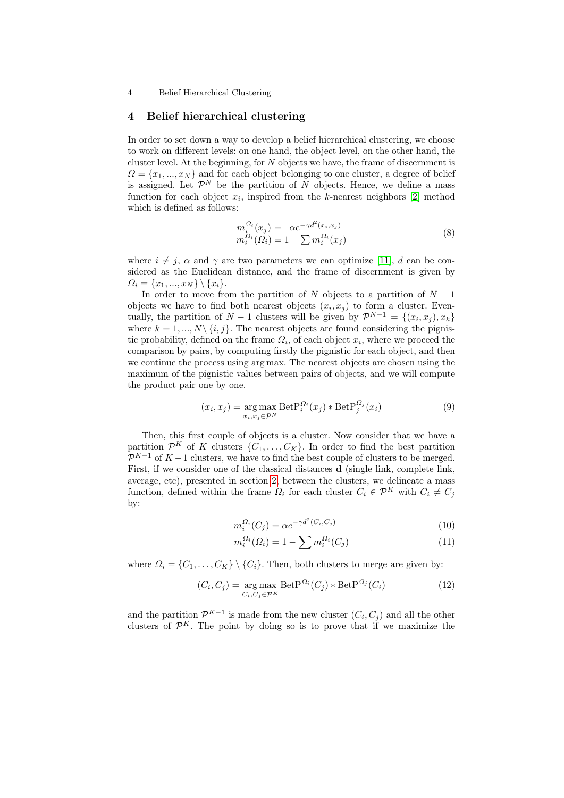#### 4 Belief hierarchical clustering

In order to set down a way to develop a belief hierarchical clustering, we choose to work on different levels: on one hand, the object level, on the other hand, the cluster level. At the beginning, for  $N$  objects we have, the frame of discernment is  $\Omega = \{x_1, ..., x_N\}$  and for each object belonging to one cluster, a degree of belief is assigned. Let  $\mathcal{P}^N$  be the partition of N objects. Hence, we define a mass function for each object  $x_i$ , inspired from the k-nearest neighbors [\[2\]](#page-8-4) method which is defined as follows:

$$
m_i^{\Omega_i}(x_j) = \alpha e^{-\gamma d^2(x_i, x_j)} m_i^{\Omega_i}(\Omega_i) = 1 - \sum m_i^{\Omega_i}(x_j)
$$
\n(8)

where  $i \neq j$ ,  $\alpha$  and  $\gamma$  are two parameters we can optimize [\[11\]](#page-9-5), d can be considered as the Euclidean distance, and the frame of discernment is given by  $\Omega_i = \{x_1, ..., x_N\} \setminus \{x_i\}.$ 

In order to move from the partition of N objects to a partition of  $N-1$ objects we have to find both nearest objects  $(x_i, x_j)$  to form a cluster. Eventually, the partition of  $N-1$  clusters will be given by  $\mathcal{P}^{N-1} = \{(x_i, x_j), x_k\}$ where  $k = 1, ..., N\setminus\{i, j\}$ . The nearest objects are found considering the pignistic probability, defined on the frame  $\Omega_i$ , of each object  $x_i$ , where we proceed the comparison by pairs, by computing firstly the pignistic for each object, and then we continue the process using arg max. The nearest objects are chosen using the maximum of the pignistic values between pairs of objects, and we will compute the product pair one by one.

$$
(x_i, x_j) = \underset{x_i, x_j \in \mathcal{P}^N}{\arg \max} \ \text{Det} \mathcal{P}_i^{\Omega_i}(x_j) * \text{Det} \mathcal{P}_j^{\Omega_j}(x_i)
$$
(9)

Then, this first couple of objects is a cluster. Now consider that we have a partition  $\mathcal{P}^K$  of K clusters  $\{C_1, \ldots, C_K\}$ . In order to find the best partition  $\mathcal{P}^{K-1}$  of  $K-1$  clusters, we have to find the best couple of clusters to be merged. First, if we consider one of the classical distances **d** (single link, complete link, average, etc), presented in section [2,](#page-1-0) between the clusters, we delineate a mass function, defined within the frame  $\Omega_i$  for each cluster  $C_i \in \mathcal{P}^K$  with  $C_i \neq C_j$ by:

$$
m_i^{\Omega_i}(C_j) = \alpha e^{-\gamma d^2(C_i, C_j)}\tag{10}
$$

$$
m_i^{\Omega_i}(\Omega_i) = 1 - \sum m_i^{\Omega_i}(C_j)
$$
 (11)

where  $\Omega_i = \{C_1, \ldots, C_K\} \setminus \{C_i\}$ . Then, both clusters to merge are given by:

<span id="page-3-0"></span>
$$
(C_i, C_j) = \underset{C_i, C_j \in \mathcal{P}^K}{\arg \max} \ \text{Det} \mathcal{P}^{\Omega_i}(C_j) * \text{Det} \mathcal{P}^{\Omega_j}(C_i)
$$
 (12)

and the partition  $\mathcal{P}^{K-1}$  is made from the new cluster  $(C_i, C_j)$  and all the other clusters of  $\mathcal{P}^K$ . The point by doing so is to prove that if we maximize the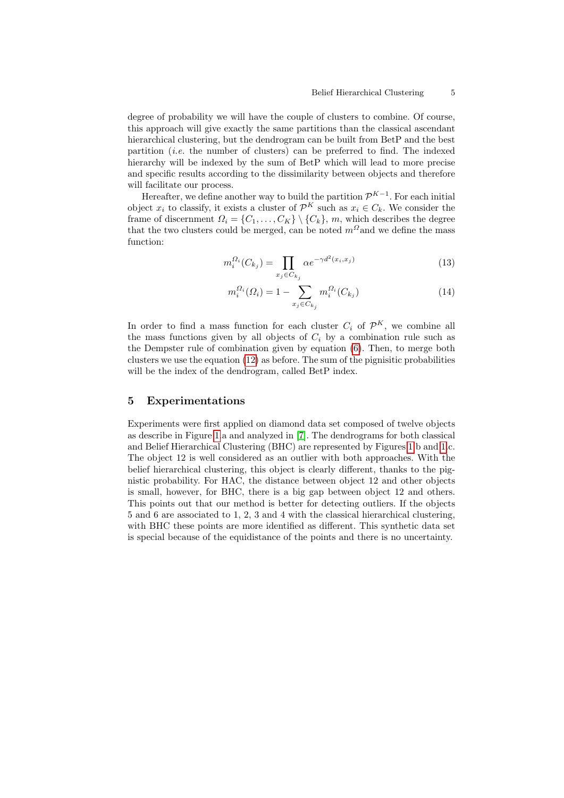degree of probability we will have the couple of clusters to combine. Of course, this approach will give exactly the same partitions than the classical ascendant hierarchical clustering, but the dendrogram can be built from BetP and the best partition (*i.e.* the number of clusters) can be preferred to find. The indexed hierarchy will be indexed by the sum of BetP which will lead to more precise and specific results according to the dissimilarity between objects and therefore will facilitate our process.

Hereafter, we define another way to build the partition  $\mathcal{P}^{K-1}$ . For each initial object  $x_i$  to classify, it exists a cluster of  $\mathcal{P}^K$  such as  $x_i \in C_k$ . We consider the frame of discernment  $\Omega_i = \{C_1, \ldots, C_K\} \setminus \{C_k\}, m$ , which describes the degree that the two clusters could be merged, can be noted  $m^{\Omega}$  and we define the mass function:

$$
n_i^{\Omega_i}(C_{k_j}) = \prod_{x_j \in C_{k_j}} \alpha e^{-\gamma d^2(x_i, x_j)} \tag{13}
$$

$$
m_i^{\Omega_i}(Q_i) = 1 - \sum_{x_j \in C_{k_j}} m_i^{\Omega_i}(C_{k_j})
$$
\n(14)

In order to find a mass function for each cluster  $C_i$  of  $\mathcal{P}^K$ , we combine all the mass functions given by all objects of  $C_i$  by a combination rule such as the Dempster rule of combination given by equation [\(6\)](#page-2-0). Then, to merge both clusters we use the equation [\(12\)](#page-3-0) as before. The sum of the pignisitic probabilities will be the index of the dendrogram, called BetP index.

### 5 Experimentations

m

Experiments were first applied on diamond data set composed of twelve objects as describe in Figure [1.](#page-5-0)a and analyzed in [\[7\]](#page-9-1). The dendrograms for both classical and Belief Hierarchical Clustering (BHC) are represented by Figures [1.](#page-5-0)b and [1.](#page-5-0)c. The object 12 is well considered as an outlier with both approaches. With the belief hierarchical clustering, this object is clearly different, thanks to the pignistic probability. For HAC, the distance between object 12 and other objects is small, however, for BHC, there is a big gap between object 12 and others. This points out that our method is better for detecting outliers. If the objects 5 and 6 are associated to 1, 2, 3 and 4 with the classical hierarchical clustering, with BHC these points are more identified as different. This synthetic data set is special because of the equidistance of the points and there is no uncertainty.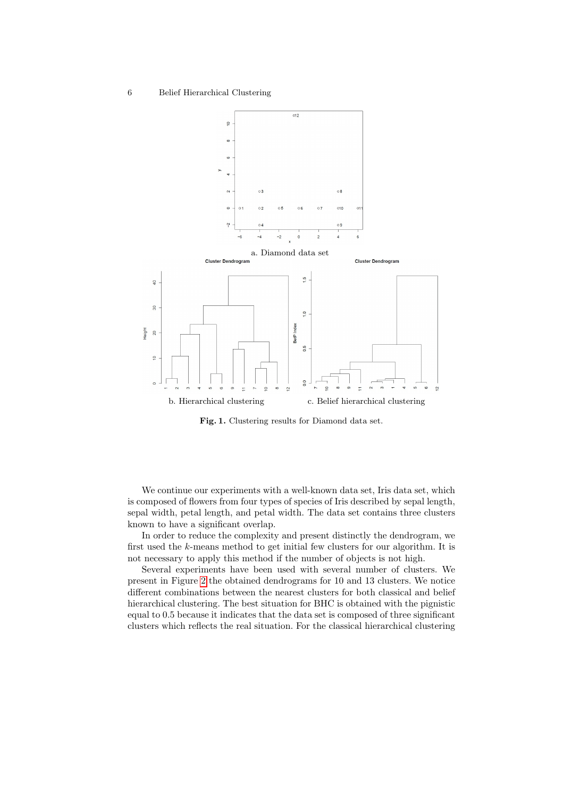

<span id="page-5-0"></span>Fig. 1. Clustering results for Diamond data set.

We continue our experiments with a well-known data set, Iris data set, which is composed of flowers from four types of species of Iris described by sepal length, sepal width, petal length, and petal width. The data set contains three clusters known to have a significant overlap.

In order to reduce the complexity and present distinctly the dendrogram, we first used the k-means method to get initial few clusters for our algorithm. It is not necessary to apply this method if the number of objects is not high.

Several experiments have been used with several number of clusters. We present in Figure [2](#page-6-0) the obtained dendrograms for 10 and 13 clusters. We notice different combinations between the nearest clusters for both classical and belief hierarchical clustering. The best situation for BHC is obtained with the pignistic equal to 0.5 because it indicates that the data set is composed of three significant clusters which reflects the real situation. For the classical hierarchical clustering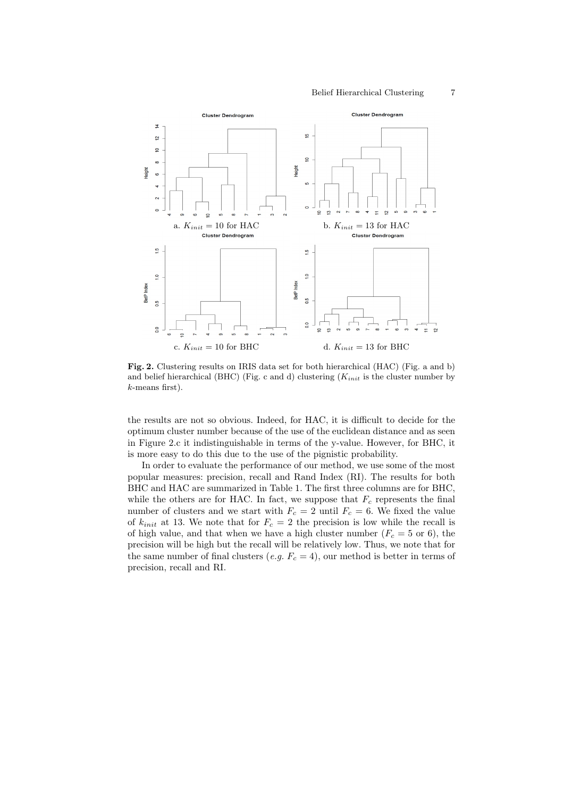

<span id="page-6-0"></span>Fig. 2. Clustering results on IRIS data set for both hierarchical (HAC) (Fig. a and b) and belief hierarchical (BHC) (Fig. c and d) clustering  $(K_{init}$  is the cluster number by k-means first).

the results are not so obvious. Indeed, for HAC, it is difficult to decide for the optimum cluster number because of the use of the euclidean distance and as seen in Figure 2.c it indistinguishable in terms of the y-value. However, for BHC, it is more easy to do this due to the use of the pignistic probability.

In order to evaluate the performance of our method, we use some of the most popular measures: precision, recall and Rand Index (RI). The results for both BHC and HAC are summarized in Table 1. The first three columns are for BHC, while the others are for HAC. In fact, we suppose that  $F_c$  represents the final number of clusters and we start with  $F_c = 2$  until  $F_c = 6$ . We fixed the value of  $k_{init}$  at 13. We note that for  $F_c = 2$  the precision is low while the recall is of high value, and that when we have a high cluster number  $(F_c = 5 \text{ or } 6)$ , the precision will be high but the recall will be relatively low. Thus, we note that for the same number of final clusters (e.g.  $F_c = 4$ ), our method is better in terms of precision, recall and RI.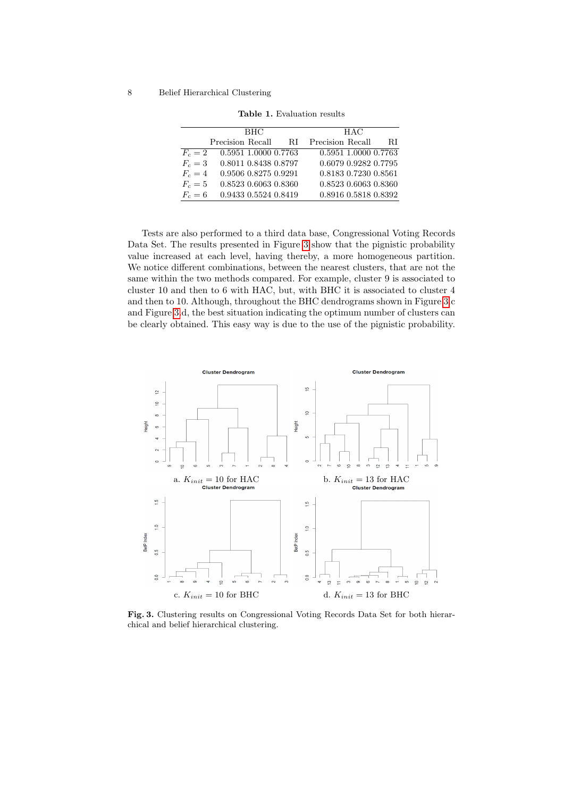| <b>BHC</b> |                      | <b>HAC</b> |                      |    |
|------------|----------------------|------------|----------------------|----|
|            | Precision Recall     | - RI       | Precision Recall     | RI |
| $F_c=2$    | 0.5951 1.0000 0.7763 |            | 0.5951 1.0000 0.7763 |    |
| $F_c=3$    | 0.8011 0.8438 0.8797 |            | 0.6079 0.9282 0.7795 |    |
| $F_c=4$    | 0.9506 0.8275 0.9291 |            | 0.8183 0.7230 0.8561 |    |
| $F_c=5$    | 0.8523 0.6063 0.8360 |            | 0.8523 0.6063 0.8360 |    |
| $F_c=6$    | 0.9433 0.5524 0.8419 |            | 0.8916 0.5818 0.8392 |    |
|            |                      |            |                      |    |

Table 1. Evaluation results

Tests are also performed to a third data base, Congressional Voting Records Data Set. The results presented in Figure [3](#page-7-0) show that the pignistic probability value increased at each level, having thereby, a more homogeneous partition. We notice different combinations, between the nearest clusters, that are not the same within the two methods compared. For example, cluster 9 is associated to cluster 10 and then to 6 with HAC, but, with BHC it is associated to cluster 4 and then to 10. Although, throughout the BHC dendrograms shown in Figure [3.](#page-7-0)c and Figure [3.](#page-7-0)d, the best situation indicating the optimum number of clusters can be clearly obtained. This easy way is due to the use of the pignistic probability.



<span id="page-7-0"></span>Fig. 3. Clustering results on Congressional Voting Records Data Set for both hierarchical and belief hierarchical clustering.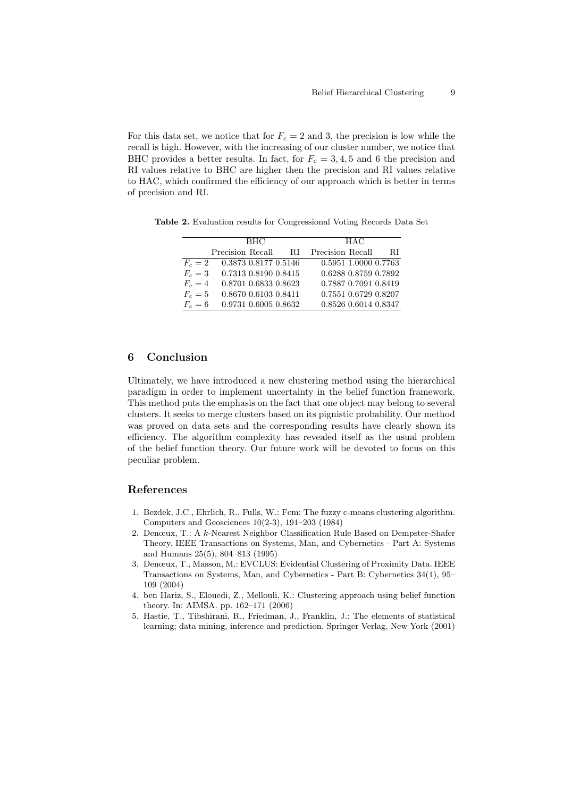For this data set, we notice that for  $F_c = 2$  and 3, the precision is low while the recall is high. However, with the increasing of our cluster number, we notice that BHC provides a better results. In fact, for  $F_c = 3, 4, 5$  and 6 the precision and RI values relative to BHC are higher then the precision and RI values relative to HAC, which confirmed the efficiency of our approach which is better in terms of precision and RI.

Table 2. Evaluation results for Congressional Voting Records Data Set

| <b>BHC</b> |                                | <b>HAC</b>                              |  |
|------------|--------------------------------|-----------------------------------------|--|
|            |                                | Precision Recall RI Precision Recall RI |  |
|            | $F_c = 2$ 0.3873 0.8177 0.5146 | 0.5951 1.0000 0.7763                    |  |
|            | $F_c = 3$ 0.7313 0.8190 0.8415 | 0.6288 0.8759 0.7892                    |  |
|            | $F_c = 4$ 0.8701 0.6833 0.8623 | 0.7887 0.7091 0.8419                    |  |
|            | $F_c = 5$ 0.8670 0.6103 0.8411 | 0.7551 0.6729 0.8207                    |  |
|            | $F_c = 6$ 0.9731 0.6005 0.8632 | 0.8526 0.6014 0.8347                    |  |

# 6 Conclusion

Ultimately, we have introduced a new clustering method using the hierarchical paradigm in order to implement uncertainty in the belief function framework. This method puts the emphasis on the fact that one object may belong to several clusters. It seeks to merge clusters based on its pignistic probability. Our method was proved on data sets and the corresponding results have clearly shown its efficiency. The algorithm complexity has revealed itself as the usual problem of the belief function theory. Our future work will be devoted to focus on this peculiar problem.

# References

- <span id="page-8-1"></span>1. Bezdek, J.C., Ehrlich, R., Fulls, W.: Fcm: The fuzzy c-means clustering algorithm. Computers and Geosciences 10(2-3), 191–203 (1984)
- <span id="page-8-4"></span>2. Denœux, T.: A k-Nearest Neighbor Classification Rule Based on Dempster-Shafer Theory. IEEE Transactions on Systems, Man, and Cybernetics - Part A: Systems and Humans 25(5), 804–813 (1995)
- <span id="page-8-2"></span>3. Denœux, T., Masson, M.: EVCLUS: Evidential Clustering of Proximity Data. IEEE Transactions on Systems, Man, and Cybernetics - Part B: Cybernetics 34(1), 95– 109 (2004)
- <span id="page-8-3"></span>4. ben Hariz, S., Elouedi, Z., Mellouli, K.: Clustering approach using belief function theory. In: AIMSA. pp. 162–171 (2006)
- <span id="page-8-0"></span>5. Hastie, T., Tibshirani, R., Friedman, J., Franklin, J.: The elements of statistical learning; data mining, inference and prediction. Springer Verlag, New York (2001)